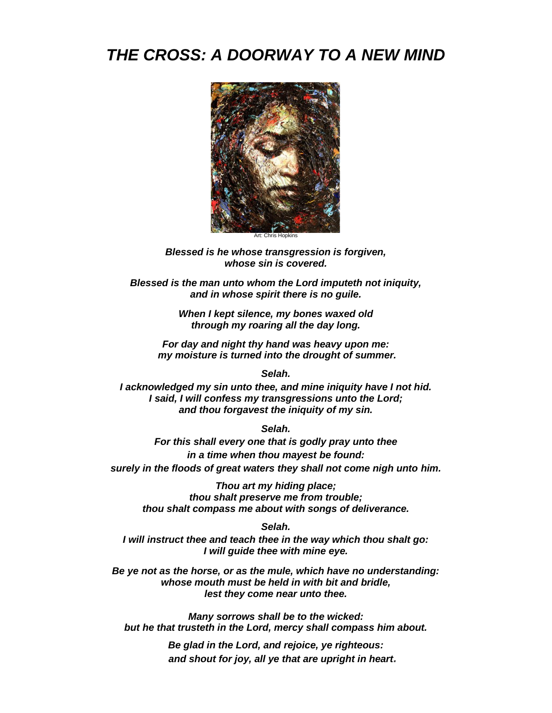# *THE CROSS: A DOORWAY TO A NEW MIND*



Art: Chris Hopkins

*Blessed is he whose transgression is forgiven, whose sin is covered.*

*Blessed is the man unto whom the Lord imputeth not iniquity, and in whose spirit there is no guile.*

> *When I kept silence, my bones waxed old through my roaring all the day long.*

*For day and night thy hand was heavy upon me: my moisture is turned into the drought of summer.* 

*Selah.*

*I acknowledged my sin unto thee, and mine iniquity have I not hid. I said, I will confess my transgressions unto the Lord; and thou forgavest the iniquity of my sin.*

*Selah.*

*For this shall every one that is godly pray unto thee in a time when thou mayest be found: surely in the floods of great waters they shall not come nigh unto him.*

*Thou art my hiding place; thou shalt preserve me from trouble; thou shalt compass me about with songs of deliverance.*

*Selah.*

*I will instruct thee and teach thee in the way which thou shalt go: I will guide thee with mine eye.*

*Be ye not as the horse, or as the mule, which have no understanding: whose mouth must be held in with bit and bridle, lest they come near unto thee.*

*Many sorrows shall be to the wicked: but he that trusteth in the Lord, mercy shall compass him about.*

> *Be glad in the Lord, and rejoice, ye righteous: and shout for joy, all ye that are upright in heart.*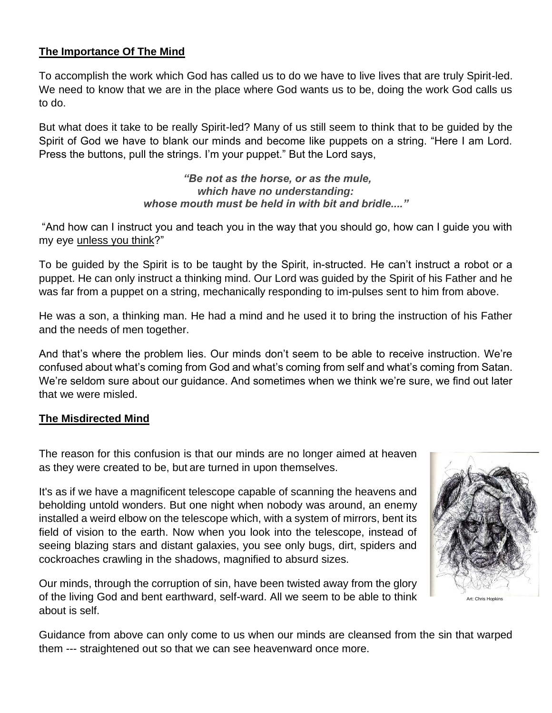# **The Importance Of The Mind**

To accomplish the work which God has called us to do we have to live lives that are truly Spirit-led. We need to know that we are in the place where God wants us to be, doing the work God calls us to do.

But what does it take to be really Spirit-led? Many of us still seem to think that to be guided by the Spirit of God we have to blank our minds and become like puppets on a string. "Here I am Lord. Press the buttons, pull the strings. I'm your puppet." But the Lord says,

> *"Be not as the horse, or as the mule, which have no understanding: whose mouth must be held in with bit and bridle...."*

"And how can I instruct you and teach you in the way that you should go, how can I guide you with my eye unless you think?"

To be guided by the Spirit is to be taught by the Spirit, in-structed. He can't instruct a robot or a puppet. He can only instruct a thinking mind. Our Lord was guided by the Spirit of his Father and he was far from a puppet on a string, mechanically responding to im-pulses sent to him from above.

He was a son, a thinking man. He had a mind and he used it to bring the instruction of his Father and the needs of men together.

And that's where the problem lies. Our minds don't seem to be able to receive instruction. We're confused about what's coming from God and what's coming from self and what's coming from Satan. We're seldom sure about our guidance. And sometimes when we think we're sure, we find out later that we were misled.

#### **The Misdirected Mind**

The reason for this confusion is that our minds are no longer aimed at heaven as they were created to be, but are turned in upon themselves.

It's as if we have a magnificent telescope capable of scanning the heavens and beholding untold wonders. But one night when nobody was around, an enemy installed a weird elbow on the telescope which, with a system of mirrors, bent its field of vision to the earth. Now when you look into the telescope, instead of seeing blazing stars and distant galaxies, you see only bugs, dirt, spiders and cockroaches crawling in the shadows, magnified to absurd sizes.

Our minds, through the corruption of sin, have been twisted away from the glory of the living God and bent earthward, self-ward. All we seem to be able to think about is self.



Guidance from above can only come to us when our minds are cleansed from the sin that warped them --- straightened out so that we can see heavenward once more.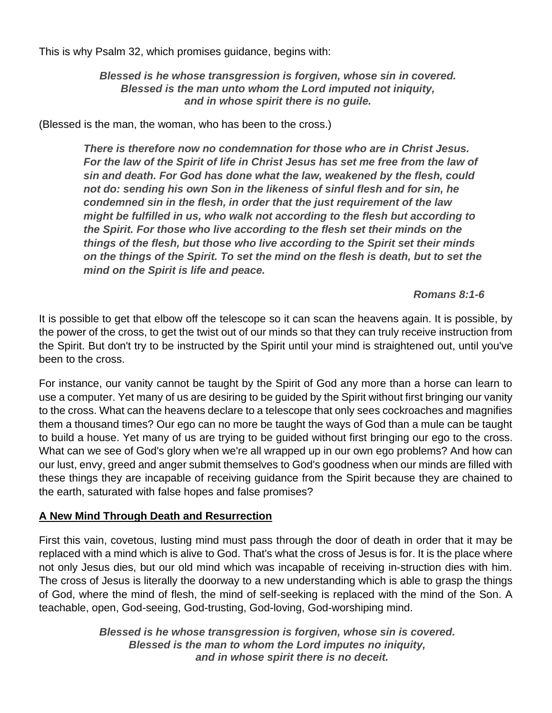This is why Psalm 32, which promises guidance, begins with:

*Blessed is he whose transgression is forgiven, whose sin in covered. Blessed is the man unto whom the Lord imputed not iniquity, and in whose spirit there is no guile.*

(Blessed is the man, the woman, who has been to the cross.)

*There is therefore now no condemnation for those who are in Christ Jesus.*  For the law of the Spirit of life in Christ Jesus has set me free from the law of *sin and death. For God has done what the law, weakened by the flesh, could not do: sending his own Son in the likeness of sinful flesh and for sin, he condemned sin in the flesh, in order that the just requirement of the law might be fulfilled in us, who walk not according to the flesh but according to the Spirit. For those who live according to the flesh set their minds on the things of the flesh, but those who live according to the Spirit set their minds on the things of the Spirit. To set the mind on the flesh is death, but to set the mind on the Spirit is life and peace.*

## *Romans 8:1-6*

It is possible to get that elbow off the telescope so it can scan the heavens again. It is possible, by the power of the cross, to get the twist out of our minds so that they can truly receive instruction from the Spirit. But don't try to be instructed by the Spirit until your mind is straightened out, until you've been to the cross.

For instance, our vanity cannot be taught by the Spirit of God any more than a horse can learn to use a computer. Yet many of us are desiring to be guided by the Spirit without first bringing our vanity to the cross. What can the heavens declare to a telescope that only sees cockroaches and magnifies them a thousand times? Our ego can no more be taught the ways of God than a mule can be taught to build a house. Yet many of us are trying to be guided without first bringing our ego to the cross. What can we see of God's glory when we're all wrapped up in our own ego problems? And how can our lust, envy, greed and anger submit themselves to God's goodness when our minds are filled with these things they are incapable of receiving guidance from the Spirit because they are chained to the earth, saturated with false hopes and false promises?

## **A New Mind Through Death and Resurrection**

First this vain, covetous, lusting mind must pass through the door of death in order that it may be replaced with a mind which is alive to God. That's what the cross of Jesus is for. It is the place where not only Jesus dies, but our old mind which was incapable of receiving in-struction dies with him. The cross of Jesus is literally the doorway to a new understanding which is able to grasp the things of God, where the mind of flesh, the mind of self-seeking is replaced with the mind of the Son. A teachable, open, God-seeing, God-trusting, God-loving, God-worshiping mind.

> *Blessed is he whose transgression is forgiven, whose sin is covered. Blessed is the man to whom the Lord imputes no iniquity, and in whose spirit there is no deceit.*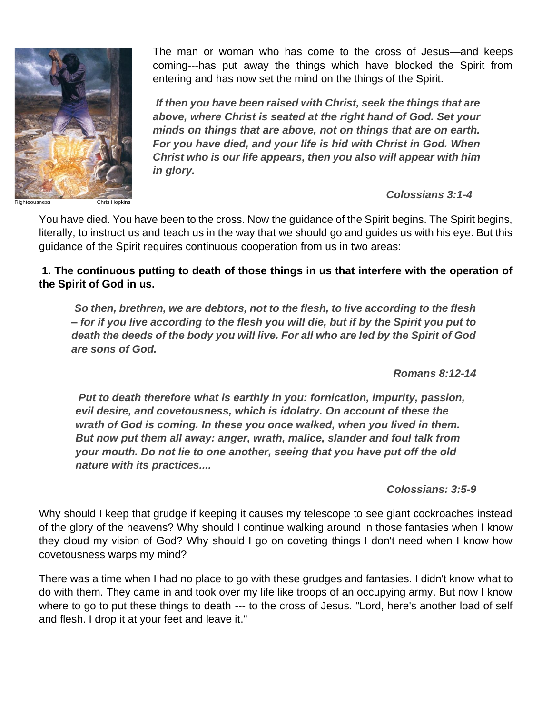

The man or woman who has come to the cross of Jesus—and keeps coming---has put away the things which have blocked the Spirit from entering and has now set the mind on the things of the Spirit.

*If then you have been raised with Christ, seek the things that are above, where Christ is seated at the right hand of God. Set your minds on things that are above, not on things that are on earth. For you have died, and your life is hid with Christ in God. When Christ who is our life appears, then you also will appear with him in glory.* 

*Colossians 3:1-4*

You have died. You have been to the cross. Now the guidance of the Spirit begins. The Spirit begins, literally, to instruct us and teach us in the way that we should go and guides us with his eye. But this guidance of the Spirit requires continuous cooperation from us in two areas:

**1. The continuous putting to death of those things in us that interfere with the operation of the Spirit of God in us.**

*So then, brethren, we are debtors, not to the flesh, to live according to the flesh – for if you live according to the flesh you will die, but if by the Spirit you put to death the deeds of the body you will live. For all who are led by the Spirit of God are sons of God.* 

*Romans 8:12-14*

*Put to death therefore what is earthly in you: fornication, impurity, passion, evil desire, and covetousness, which is idolatry. On account of these the wrath of God is coming. In these you once walked, when you lived in them. But now put them all away: anger, wrath, malice, slander and foul talk from your mouth. Do not lie to one another, seeing that you have put off the old nature with its practices....* 

*Colossians: 3:5-9*

Why should I keep that grudge if keeping it causes my telescope to see giant cockroaches instead of the glory of the heavens? Why should I continue walking around in those fantasies when I know they cloud my vision of God? Why should I go on coveting things I don't need when I know how covetousness warps my mind?

There was a time when I had no place to go with these grudges and fantasies. I didn't know what to do with them. They came in and took over my life like troops of an occupying army. But now I know where to go to put these things to death --- to the cross of Jesus. "Lord, here's another load of self and flesh. I drop it at your feet and leave it."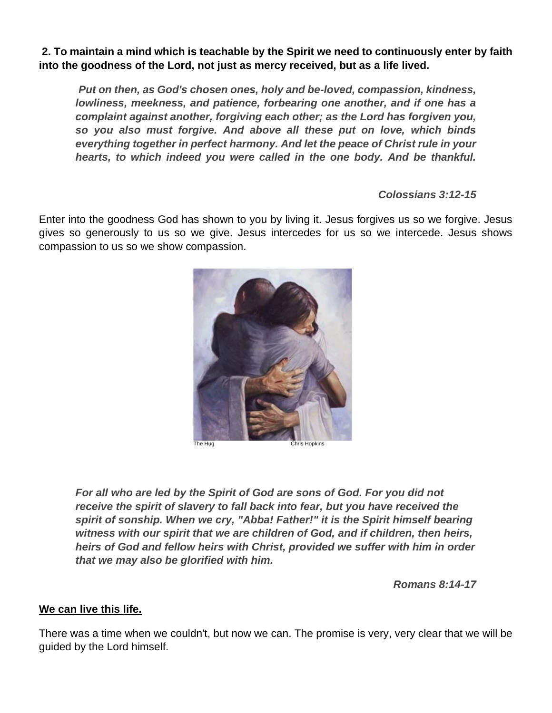**2. To maintain a mind which is teachable by the Spirit we need to continuously enter by faith into the goodness of the Lord, not just as mercy received, but as a life lived.**

*Put on then, as God's chosen ones, holy and be-loved, compassion, kindness, lowliness, meekness, and patience, forbearing one another, and if one has a complaint against another, forgiving each other; as the Lord has forgiven you, so you also must forgive. And above all these put on love, which binds everything together in perfect harmony. And let the peace of Christ rule in your hearts, to which indeed you were called in the one body. And be thankful.* 

*Colossians 3:12-15*

Enter into the goodness God has shown to you by living it. Jesus forgives us so we forgive. Jesus gives so generously to us so we give. Jesus intercedes for us so we intercede. Jesus shows compassion to us so we show compassion.



The Hug Chris Hopkins

*For all who are led by the Spirit of God are sons of God. For you did not receive the spirit of slavery to fall back into fear, but you have received the spirit of sonship. When we cry, "Abba! Father!" it is the Spirit himself bearing witness with our spirit that we are children of God, and if children, then heirs, heirs of God and fellow heirs with Christ, provided we suffer with him in order that we may also be glorified with him.* 

*Romans 8:14-17*

## **We can live this life.**

There was a time when we couldn't, but now we can. The promise is very, very clear that we will be guided by the Lord himself.